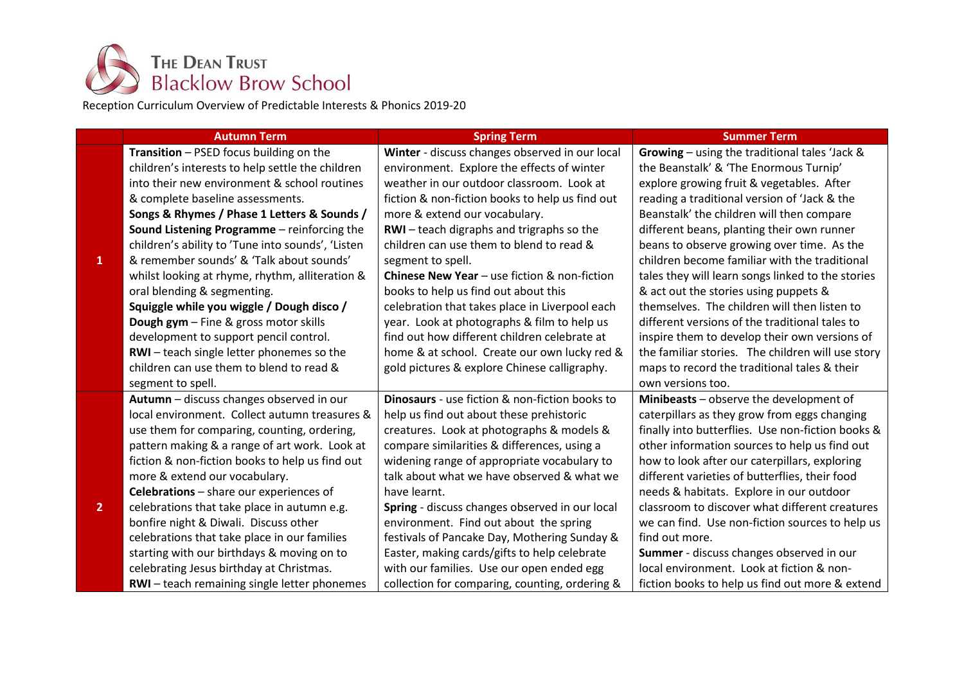

Reception Curriculum Overview of Predictable Interests & Phonics 2019-20

|                | <b>Autumn Term</b>                                 | <b>Spring Term</b>                                    | <b>Summer Term</b>                                |
|----------------|----------------------------------------------------|-------------------------------------------------------|---------------------------------------------------|
|                | Transition - PSED focus building on the            | Winter - discuss changes observed in our local        | Growing - using the traditional tales 'Jack &     |
|                | children's interests to help settle the children   | environment. Explore the effects of winter            | the Beanstalk' & 'The Enormous Turnip'            |
|                | into their new environment & school routines       | weather in our outdoor classroom. Look at             | explore growing fruit & vegetables. After         |
|                | & complete baseline assessments.                   | fiction & non-fiction books to help us find out       | reading a traditional version of 'Jack & the      |
|                | Songs & Rhymes / Phase 1 Letters & Sounds /        | more & extend our vocabulary.                         | Beanstalk' the children will then compare         |
|                | Sound Listening Programme - reinforcing the        | RWI-teach digraphs and trigraphs so the               | different beans, planting their own runner        |
|                | children's ability to 'Tune into sounds', 'Listen  | children can use them to blend to read &              | beans to observe growing over time. As the        |
| 1              | & remember sounds' & 'Talk about sounds'           | segment to spell.                                     | children become familiar with the traditional     |
|                | whilst looking at rhyme, rhythm, alliteration &    | <b>Chinese New Year</b> – use fiction & non-fiction   | tales they will learn songs linked to the stories |
|                | oral blending & segmenting.                        | books to help us find out about this                  | & act out the stories using puppets &             |
|                | Squiggle while you wiggle / Dough disco /          | celebration that takes place in Liverpool each        | themselves. The children will then listen to      |
|                | Dough gym - Fine & gross motor skills              | year. Look at photographs & film to help us           | different versions of the traditional tales to    |
|                | development to support pencil control.             | find out how different children celebrate at          | inspire them to develop their own versions of     |
|                | RWI-teach single letter phonemes so the            | home & at school. Create our own lucky red &          | the familiar stories. The children will use story |
|                | children can use them to blend to read &           | gold pictures & explore Chinese calligraphy.          | maps to record the traditional tales & their      |
|                | segment to spell.                                  |                                                       | own versions too.                                 |
|                | Autumn - discuss changes observed in our           | <b>Dinosaurs</b> - use fiction & non-fiction books to | Minibeasts - observe the development of           |
|                | local environment. Collect autumn treasures &      | help us find out about these prehistoric              | caterpillars as they grow from eggs changing      |
|                | use them for comparing, counting, ordering,        | creatures. Look at photographs & models &             | finally into butterflies. Use non-fiction books & |
|                | pattern making & a range of art work. Look at      | compare similarities & differences, using a           | other information sources to help us find out     |
|                | fiction & non-fiction books to help us find out    | widening range of appropriate vocabulary to           | how to look after our caterpillars, exploring     |
|                | more & extend our vocabulary.                      | talk about what we have observed & what we            | different varieties of butterflies, their food    |
|                | Celebrations - share our experiences of            | have learnt.                                          | needs & habitats. Explore in our outdoor          |
| $\overline{2}$ | celebrations that take place in autumn e.g.        | Spring - discuss changes observed in our local        | classroom to discover what different creatures    |
|                | bonfire night & Diwali. Discuss other              | environment. Find out about the spring                | we can find. Use non-fiction sources to help us   |
|                | celebrations that take place in our families       | festivals of Pancake Day, Mothering Sunday &          | find out more.                                    |
|                | starting with our birthdays & moving on to         | Easter, making cards/gifts to help celebrate          | Summer - discuss changes observed in our          |
|                | celebrating Jesus birthday at Christmas.           | with our families. Use our open ended egg             | local environment. Look at fiction & non-         |
|                | <b>RWI-</b> teach remaining single letter phonemes | collection for comparing, counting, ordering &        | fiction books to help us find out more & extend   |